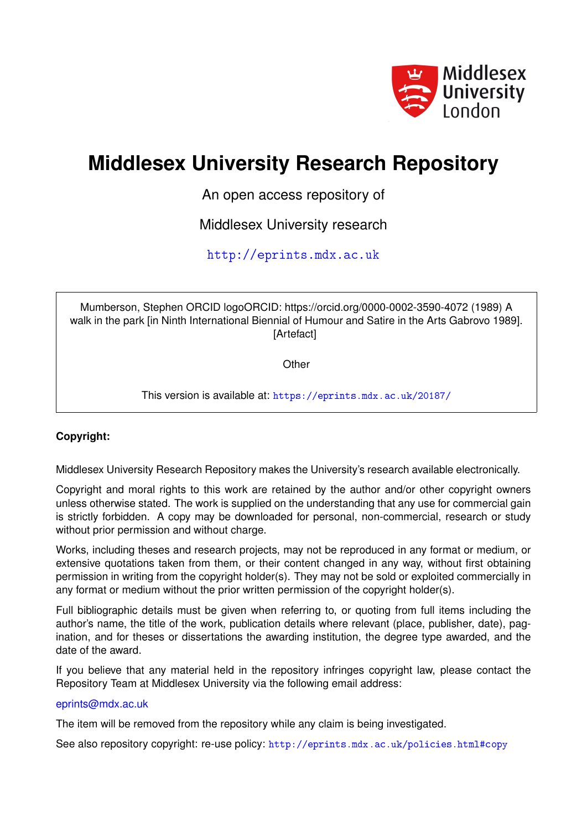

## **Middlesex University Research Repository**

An open access repository of

Middlesex University research

<http://eprints.mdx.ac.uk>

Mumberson, Stephen ORCID logoORCID: https://orcid.org/0000-0002-3590-4072 (1989) A walk in the park [in Ninth International Biennial of Humour and Satire in the Arts Gabrovo 1989]. [Artefact]

**Other** 

This version is available at: <https://eprints.mdx.ac.uk/20187/>

## **Copyright:**

Middlesex University Research Repository makes the University's research available electronically.

Copyright and moral rights to this work are retained by the author and/or other copyright owners unless otherwise stated. The work is supplied on the understanding that any use for commercial gain is strictly forbidden. A copy may be downloaded for personal, non-commercial, research or study without prior permission and without charge.

Works, including theses and research projects, may not be reproduced in any format or medium, or extensive quotations taken from them, or their content changed in any way, without first obtaining permission in writing from the copyright holder(s). They may not be sold or exploited commercially in any format or medium without the prior written permission of the copyright holder(s).

Full bibliographic details must be given when referring to, or quoting from full items including the author's name, the title of the work, publication details where relevant (place, publisher, date), pagination, and for theses or dissertations the awarding institution, the degree type awarded, and the date of the award.

If you believe that any material held in the repository infringes copyright law, please contact the Repository Team at Middlesex University via the following email address:

## [eprints@mdx.ac.uk](mailto:eprints@mdx.ac.uk)

The item will be removed from the repository while any claim is being investigated.

See also repository copyright: re-use policy: <http://eprints.mdx.ac.uk/policies.html#copy>